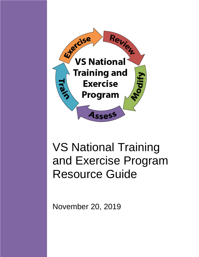

# VS National Training and Exercise Program Resource Guide

November 20, 2019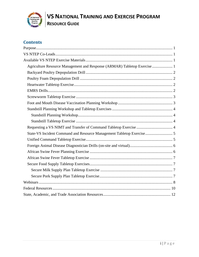

## **Contents**

| Agriculture Resource Management and Response (ARMAR) Tabletop Exercise  1 |
|---------------------------------------------------------------------------|
|                                                                           |
|                                                                           |
|                                                                           |
|                                                                           |
|                                                                           |
|                                                                           |
|                                                                           |
|                                                                           |
|                                                                           |
|                                                                           |
| State-VS Incident Command and Resource Management Tabletop Exercise 5     |
|                                                                           |
|                                                                           |
|                                                                           |
|                                                                           |
|                                                                           |
|                                                                           |
|                                                                           |
|                                                                           |
|                                                                           |
|                                                                           |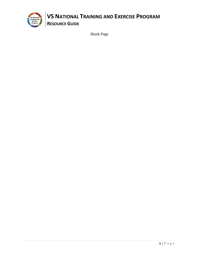

**Blank Page**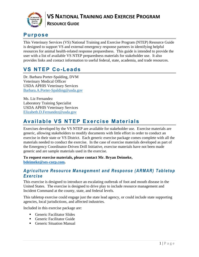

## <span id="page-4-0"></span>**Purpose**

This Veterinary Services (VS) National Training and Exercise Program (NTEP) Resource Guide is designed to support VS and external emergency response partners in identifying helpful resources for animal health-related response preparedness. This guide is intended to provide the user with a list of available VS NTEP preparedness materials for stakeholder use. It also provides links and contact information to useful federal, state, academia, and trade resources.

## <span id="page-4-1"></span>**VS NTEP Co-Leads**

Dr. Barbara Porter-Spalding, DVM Veterinary Medical Officer USDA APHIS Veterinary Services [Barbara.A.Porter-Spalding@usda.gov](mailto:Barbara.A.Porter-Spalding@usda.gov)

Ms. Liz Fernandez Laboratory Training Specialist USDA APHIS Veterinary Services [Elizabeth.D.Fernandez@usda.gov](mailto:Elizabeth.D.Fernandez@usda.gov)

## <span id="page-4-2"></span>**Available VS NTEP Exercise Materials**

Exercises developed by the VS NTEP are available for stakeholder use. Exercise materials are generic, allowing stakeholders to modify documents with little effort in order to conduct an exercise in their state or VS District. Each generic exercise package comes complete with all the materials needed to conduct the exercise. In the case of exercise materials developed as part of the Emergency Coordinator-Driven Drill Initiative, exercise materials have not been made generic and are sample materials used in the exercise.

**To request exercise materials, please contact Mr. Bryan Deimeke, [bdeimeke@ses-corp.com.](mailto:bdeimeke@ses-corp.com)** 

#### <span id="page-4-3"></span>*Agriculture Resource Management and Response (ARMAR) Tabletop Exercise*

This exercise is designed to introduce an escalating outbreak of foot and mouth disease in the United States. The exercise is designed to drive play to include resource management and Incident Command at the county, state, and federal levels.

This tabletop exercise could engage just the state lead agency, or could include state supporting agencies, local jurisdictions, and affected industries.

- Generic Facilitator Slides
- Generic Facilitator Guide
- Generic Situation Manual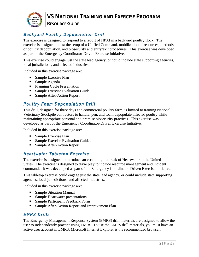

## <span id="page-5-0"></span>*Backyard Poultry Depopulation Drill*

The exercise is designed to respond to a report of HPAI in a backyard poultry flock. The exercise is designed to test the setup of a Unified Command, mobilization of resources, methods of poultry depopulation, and biosecurity and entry/exit procedures. This exercise was developed as part of the Emergency Coordinator-Driven Exercise Initiative.

This exercise could engage just the state lead agency, or could include state supporting agencies, local jurisdictions, and affected industries.

Included in this exercise package are:

- Sample Exercise Plan
- Sample Agenda
- Planning Cycle Presentation
- Sample Exercise Evaluation Guide
- Sample After-Action Report

#### <span id="page-5-1"></span>*Poultry Foam Depopulation Drill*

This drill, designed for three days at a commercial poultry farm, is limited to training National Veterinary Stockpile contractors to handle, pen, and foam depopulate infected poultry while maintaining appropriate personal and premise biosecurity practices. This exercise was developed as part of the Emergency Coordinator-Driven Exercise Initiative.

Included in this exercise package are:

- Sample Exercise Plan
- Sample Exercise Evaluation Guides
- Sample After-Action Report

#### <span id="page-5-2"></span>*Heartwater Tabletop Exercise*

The exercise is designed to introduce an escalating outbreak of Heartwater in the United States. The exercise is designed to drive play to include resource management and incident command. It was developed as part of the Emergency Coordinator-Driven Exercise Initiative.

This tabletop exercise could engage just the state lead agency, or could include state supporting agencies, local jurisdictions, and affected industries.

Included in this exercise package are:

- Sample Situation Manual
- Sample Heartwater presentations
- Sample Participant Feedback Form
- Sample After-Action Report and Improvement Plan

#### <span id="page-5-3"></span>*EMRS Drills*

The Emergency Management Response System (EMRS) drill materials are designed to allow the user to independently practice using EMRS. To use the EMRS drill materials, you must have an active user account in EMRS. Microsoft Internet Explorer is the recommended browser.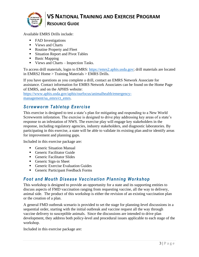

Available EMRS Drills include:

- FAD Investigations
- Views and Charts
- Routine Property and Fleet
- Situation Report and Pivot Tables
- Basic Mapping
- Views and Charts Inspection Tasks.

To access drill materials, login to EMRS: [https://emrs2.aphis.usda.gov;](https://emrs2.aphis.usda.gov/) drill materials are located in EMRS2 Home > Training Materials > EMRS Drills.

If you have questions as you complete a drill, contact an EMRS Network Associate for assistance. Contact information for EMRS Network Associates can be found on the Home Page of EMRS, and on the APHIS website:

[https://www.aphis.usda.gov/aphis/ourfocus/animalhealth/emergency](https://www.aphis.usda.gov/aphis/ourfocus/animalhealth/emergency-management/sa_emrs/ct_emrs)[management/sa\\_emrs/ct\\_emrs.](https://www.aphis.usda.gov/aphis/ourfocus/animalhealth/emergency-management/sa_emrs/ct_emrs)

#### <span id="page-6-0"></span>*Screwworm Tabletop Exercise*

This exercise is designed to test a state's plan for mitigating and responding to a New World Screwworm infestation. The exercise is designed to drive play addressing key areas of a state's response to an infestation of NWS. The exercise play will engage key stakeholders in the response, including regulatory agencies, industry stakeholders, and diagnostic laboratories. By participating in this exercise, a state will be able to validate its existing plan and/or identify areas for improvement and planning gaps.

Included in this exercise package are:

- Generic Situation Manual
- Generic Facilitator Guide
- Generic Facilitator Slides
- Generic Sign-in Sheet
- **Generic Exercise Evaluation Guides**
- Generic Participant Feedback Forms

#### <span id="page-6-1"></span>*Foot and Mouth Disease Vaccination Planning Wor kshop*

This workshop is designed to provide an opportunity for a state and its supporting entities to discuss aspects of FMD vaccination ranging from requesting vaccine, all the way to delivery, animal side. The product of this workshop is either the revision of an existing vaccination plan or the creation of a plan.

A general FMD outbreak scenario is provided to set the stage for planning-level discussions in a sequential order, starting with the initial outbreak and vaccine request all the way through vaccine delivery to susceptible animals. Since the discussions are intended to drive plan development, they address both policy-level and procedural issues applicable to each stage of the workshop.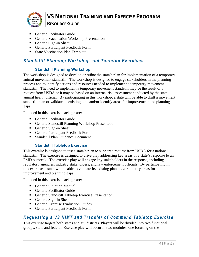

- Generic Facilitator Guide
- Generic Vaccination Workshop Presentation
- Generic Sign-in Sheet
- Generic Participant Feedback Form
- State Vaccination Plan Template

#### <span id="page-7-1"></span><span id="page-7-0"></span>*Standstill Planning Workshop and Tabletop Exercises*

#### **Standstill Planning Workshop**

The workshop is designed to develop or refine the state's plan for implementation of a temporary animal movement standstill. The workshop is designed to engage stakeholders in the planning process and to identify actions and resources needed to implement a temporary movement standstill. The need to implement a temporary movement standstill may be the result of a request from USDA or it may be based on an internal risk assessment conducted by the state animal health official. By participating in this workshop, a state will be able to draft a movement standstill plan or validate its existing plan and/or identify areas for improvement and planning gaps.

Included in this exercise package are:

- Generic Facilitator Guide
- Generic Standstill Planning Workshop Presentation
- **Generic Sign-in Sheet**
- Generic Participant Feedback Form
- Standstill Plan Guidance Document

#### **Standstill Tabletop Exercise**

<span id="page-7-2"></span>This exercise is designed to test a state's plan to support a request from USDA for a national standstill. The exercise is designed to drive play addressing key areas of a state's response to an FMD outbreak. The exercise play will engage key stakeholders in the response, including regulatory agencies, industry stakeholders, and law enforcement officials. By participating in this exercise, a state will be able to validate its existing plan and/or identify areas for improvement and planning gaps.

Included in this exercise package are:

- Generic Situation Manual
- Generic Facilitator Guide
- Generic Standstill Tabletop Exercise Presentation
- Generic Sign-in Sheet
- Generic Exercise Evaluation Guides
- Generic Participant Feedback Form

#### <span id="page-7-3"></span>*Requesting a VS NIMT and Transfer of Command Tabletop Exercise*

This exercise targets both states and VS districts. Players will be divided into two functional groups: state and federal. Exercise play will occur in two modules, one focusing on the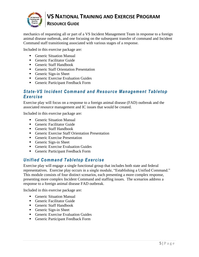

mechanics of requesting all or part of a VS Incident Management Team in response to a foreign animal disease outbreak, and one focusing on the subsequent transfer of command and Incident Command staff transitioning associated with various stages of a response.

Included in this exercise package are:

- Generic Situation Manual
- Generic Facilitator Guide
- Generic Staff Handbook
- Generic Staff Orientation Presentation
- Generic Sign-in Sheet
- **Generic Exercise Evaluation Guides**
- Generic Participant Feedback Form

#### <span id="page-8-0"></span>*State-VS Incident Command and Resource Management Tabletop Exercise*

Exercise play will focus on a response to a foreign animal disease (FAD) outbreak and the associated resource management and IC issues that would be created.

Included in this exercise package are:

- Generic Situation Manual
- Generic Facilitator Guide
- Generic Staff Handbook
- Generic Exercise Staff Orientation Presentation
- Generic Exercise Presentation
- Generic Sign-in Sheet
- Generic Exercise Evaluation Guides
- Generic Participant Feedback Form

#### <span id="page-8-1"></span>*Unified Command Tabletop Exercise*

Exercise play will engage a single functional group that includes both state and federal representatives. Exercise play occurs in a single module, "Establishing a Unified Command." This module consists of four distinct scenarios, each presenting a more complex response, presenting more complex Incident Command and staffing issues. The scenarios address a response to a foreign animal disease FAD outbreak.

- Generic Situation Manual
- Generic Facilitator Guide
- Generic Staff Handbook
- Generic Sign-in Sheet
- Generic Exercise Evaluation Guides
- Generic Participant Feedback Form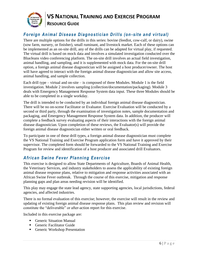

#### <span id="page-9-0"></span>*Foreign Animal Disease Diagnostician Drills (on -site and virtual)*

There are multiple options for the drills in this series: bovine (feedlot, cow-calf, or dairy), swine (sow farm, nursery, or finisher), small ruminant, and livestock market. Each of these options can be implemented as an on-site drill, any of the drills can be adapted for virtual play, if requested. The virtual drill is based on mock data and involves a simulated investigation conducted over the BlueJeans video conferencing platform. The on-site drill involves an actual field investigation, animal handling, and sampling, and it is supplemented with mock data. For the on-site drill option, a foreign animal disease diagnostician will be assigned a host producer/owner. The host will have agreed to interact with the foreign animal disease diagnostician and allow site access, animal handling, and sample collection.

Each drill type – virtual and on-site – is composed of three Modules. Module 1 is the field investigation. Module 2 involves sampling (collection/documentation/packaging). Module 3 deals with Emergency Management Response System data input. These three Modules should be able to be completed in a single workday.

The drill is intended to be conducted by an individual foreign animal disease diagnostician. There will be no on-scene Facilitator or Evaluator. Exercise Evaluation will be conducted by a second or third party, through the examination of investigation notes, sample documentation and packaging, and Emergency Management Response System data. In addition, the producer will complete a feedback survey evaluating aspects of their interactions with the foreign animal disease diagnostician. Upon completion of these reviews, the Evaluator(s) will provide the foreign animal disease diagnostician either written or oral feedback.

To participate in one of these drill types, a foreign animal disease diagnostician must complete the VS National Training and Exercise Program application form and have it approved by their supervisor. The completed form should be forwarded to the VS National Training and Exercise Program for review and identification of a host producer and associated drill Evaluators.

#### <span id="page-9-1"></span>*African Swine Fever Planning Exercise*

This exercise is designed to allow State Departments of Agriculture, Boards of Animal Health, the Veterinary Services, and industry stakeholders to assess the applicability of existing foreign animal disease response plans, relative to mitigation and response activities associated with an African Swine Fever outbreak. Through the course of this exercise, mitigation and response planning gaps and plan areas needing revision will be identified.

This play may engage the state lead agency, state supporting agencies, local jurisdictions, federal agencies, and affected industries.

There is no formal evaluation of this exercise; however, the exercise will result in the review and updating of existing foreign animal disease response plans. This plan review and revision will constitute the "deliverable" or after-action report for this exercise.

- Generic Situation Manual
- Generic Facilitator Guide
- Generic Workshop Presentation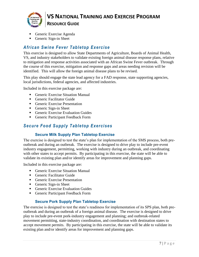

- Generic Exercise Agenda
- Generic Sign-in Sheet

#### <span id="page-10-0"></span>*African Swine Fever Tabletop Exercise*

This exercise is designed to allow State Departments of Agriculture, Boards of Animal Health, VS, and industry stakeholders to validate existing foreign animal disease response plans, relative to mitigation and response activities associated with an African Swine Fever outbreak. Through the course of this exercise, mitigation and response gaps and areas needing revision will be identified. This will allow the foreign animal disease plans to be revised.

This play should engage the state lead agency for a FAD response, state supporting agencies, local jurisdictions, federal agencies, and affected industries.

Included in this exercise package are:

- Generic Exercise Situation Manual
- Generic Facilitator Guide
- Generic Exercise Presentation
- Generic Sign-in Sheet
- **Generic Exercise Evaluation Guides**
- Generic Participant Feedback Form

#### <span id="page-10-2"></span><span id="page-10-1"></span>*Secure Food Supply Tabletop Exercises*

#### **Secure Milk Supply Plan Tabletop Exercise**

The exercise is designed to test the state's plan for implementation of the SMS process, both preoutbreak and during an outbreak. The exercise is designed to drive play to include pre-event industry engagement, permitting, working with industry during an outbreak, and coordinating with other states to accept permits. By participating in this exercise, the state will be able to validate its existing plan and/or identify areas for improvement and planning gaps.

Included in this exercise package are:

- Generic Exercise Situation Manual
- Generic Facilitator Guide
- Generic Exercise Presentation
- Generic Sign-in Sheet
- **Generic Exercise Evaluation Guides**
- Generic Participant Feedback Form

#### **Secure Pork Supply Plan Tabletop Exercise**

<span id="page-10-3"></span>The exercise is designed to test the state's readiness for implementation of its SPS plan, both preoutbreak and during an outbreak of a foreign animal disease. The exercise is designed to drive play to include pre-event pork-industry engagement and planning; and outbreak-related movement permitting, state-industry coordination, and coordination with destination states to accept movement permits. By participating in this exercise, the state will be able to validate its existing plan and/or identify areas for improvement and planning gaps.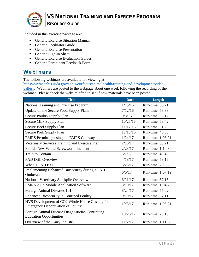

Included in this exercise package are:

- Generic Exercise Situation Manual
- Generic Facilitator Guide
- Generic Exercise Presentation
- Generic Sign-in Sheet
- Generic Exercise Evaluation Guides
- **Generic Participant Feedback Form**

#### <span id="page-11-0"></span>**Webinars**

The following webinars are available for viewing at

[https://www.aphis.usda.gov/aphis/ourfocus/animalhealth/training-and-development/video-](https://www.aphis.usda.gov/aphis/ourfocus/animalhealth/training-and-development/video-gallery)

[gallery.](https://www.aphis.usda.gov/aphis/ourfocus/animalhealth/training-and-development/video-gallery) Webinars are posted to the webpage about one week following the recording of the webinar. Please check the website often to see if new materials have been posted.

| <b>Title</b>                                                                               | <b>Date</b> | Length            |
|--------------------------------------------------------------------------------------------|-------------|-------------------|
| National Training and Exercise Program                                                     | 1/15/16     | Run-time: 38:21   |
| Update on the Secure Food Supply Plans                                                     | 7/12/16     | Run-time: 58:33   |
| Secure Poultry Supply Plan                                                                 | 9/8/16      | Run-time: 38:12   |
| Secure Milk Supply Plan                                                                    | 10/25/16    | Run-time: 53:42   |
| Secure Beef Supply Plan                                                                    | 11/17/16    | Run-time: 51:25   |
| <b>Secure Pork Supply Plan</b>                                                             | 12/13/16    | Run-time: 46:53   |
| <b>EMRS</b> Permitting using the EMRS Gateway                                              | 1/24/17     | Run-time: 1:08:21 |
| Veterinary Services Training and Exercise Plan                                             | 2/16/17     | Run-time: 38:21   |
| Florida New World Screwworm Incident                                                       | 2/23/17     | Run-time: 1:10:30 |
| Train to Contain                                                                           | 3/7/17      | Run-time: 40:49   |
| <b>FAD Drill Overview</b>                                                                  | 4/18/17     | Run-time: 59:16   |
| What is FAD EYE?                                                                           | 5/23/17     | Run-time: 28:56   |
| Implementing Enhanced Biosecurity during a FAD<br>Outbreak                                 | 6/6/17      | Run-time: 1:07:19 |
| National Veterinary Stockpile Overview                                                     | 6/21/17     | Run-time: 57:15   |
| <b>EMRS 2 Go Mobile Application Software</b>                                               | 8/10/17     | Run-time: 1:04:23 |
| Foreign Animal Diseases 101                                                                | 8/24/17     | Run-time: 55:02   |
| <b>Enhanced Biosecurity in Confined Poultry</b>                                            | 9/19/17     | Run-time: 57:11   |
| NVS Development of CO2 Whole House Gassing for<br><b>Emergency Depopulation of Poultry</b> | 10/3/17     | Run-time: 1:06:21 |
| Foreign Animal Disease Diagnostician Continuing<br><b>Education Opportunities</b>          | 10/26/17    | Run-time: 28:10   |
| Overview of the Dairy Industry                                                             | 11/2/17     | Run-time: 1:11:55 |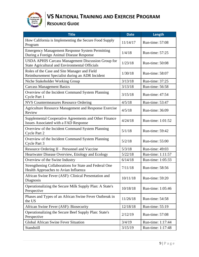

| <b>Title</b>                                                                                                | <b>Date</b> | Length            |
|-------------------------------------------------------------------------------------------------------------|-------------|-------------------|
| How California is Implementing the Secure Food Supply<br>Program                                            | 11/14/17    | Run-time: 57:08   |
| <b>Emergency Management Response System Permitting</b><br>During a Foreign Animal Disease Response          | 1/4/18      | Run-time: 57:25   |
| <b>USDA APHIS Carcass Management Discussion Group for</b><br>State Agricultural and Environmental Officials | 1/23/18     | Run-time: 50:08   |
| Roles of the Case and Site Manager and Field<br>Reimbursement Specialist during an ADR Incident             | 1/30/18     | Run-time: 58:07   |
| Niche Stakeholder Working Group                                                                             | 3/13/18     | Run-time: 37:25   |
| <b>Carcass Management Basics</b>                                                                            | 3/13/18     | Run-time: 56:58   |
| Overview of the Incident Command System Planning<br>Cycle Part 1                                            | 3/15/18     | Run-time: 47:54   |
| <b>NVS Countermeasures Resource Ordering</b>                                                                | 4/5/18      | Run-time: 53:47   |
| <b>Agriculture Resource Management and Response Exercise</b><br>Review                                      | 4/5/18      | Run-time: 36:09   |
| Supplemental Cooperative Agreements and Other Finance<br>Issues Associated with a FAD Response              | 4/24/18     | Run-time: 1:01:52 |
| Overview of the Incident Command System Planning<br>Cycle Part 2                                            | 5/1/18      | Run-time: 59:42   |
| Overview of the Incident Command System Planning<br>Cycle Part 3                                            | 5/2/18      | Run-time: 55:00   |
| Resource Ordering II - Personnel and Vaccine                                                                | 5/3/18      | Run-time: 49:03   |
| Heartwater Disease Overview, Etiology and Ecology                                                           | 5/22/18     | Run-time: 1:11:57 |
| Overview of the Swine Industry                                                                              | 6/14/18     | Run-time: 1:05:33 |
| Strengthening Collaborations for State and Federal One<br>Health Approaches to Avian Influenza              | 7/11/18     | Run-time: 58:56   |
| African Swine Fever (ASF): Clinical Presentation and<br>Diagnosis                                           | 10/11/18    | Run-time: 59:20   |
| Operationalizing the Secure Milk Supply Plan: A State's<br>Perspective                                      | 10/18/18    | Run-time: 1:05:46 |
| Phases and Types of an African Swine Fever Outbreak in<br>the US                                            | 11/26/18    | Run-time: 54:58   |
| African Swine Fever (ASF): Biosecurity                                                                      | 12/18/18    | Run-time: 55:19   |
| Operationalizing the Secure Beef Supply Plan: State's<br>Perspective                                        | 2/12/19     | Run-time: 57:08   |
| Global African Swine Fever Situation                                                                        | 3/4/19      | Run-time: 1:17:44 |
| Standstill                                                                                                  | 3/15/19     | Run-time: 1:17:48 |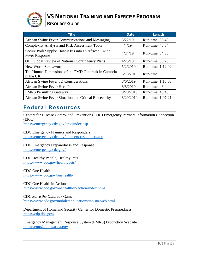

## **VS NATIONAL TRAINING AND EXERCISE PROGRAM**

## **RESOURCE GUIDE**

| <b>Title</b>                                                                   | <b>Date</b> | Length            |
|--------------------------------------------------------------------------------|-------------|-------------------|
| African Swine Fever Communications and Messaging                               | 3/22/19     | Run-time: 53:45   |
| <b>Complexity Analysis and Risk Assessment Tools</b>                           | 4/4/19      | Run-time: 48:34   |
| Secure Pork Supply: How it fits into an African Swine<br><b>Fever Response</b> | 4/24/19     | Run-time: 34:05   |
| <b>OIE Global Review of National Contingency Plans</b>                         | 4/25/19     | Run-time: 30:23   |
| New World Screwworm                                                            | 5/2/2019    | Run-time: 1:12:02 |
| The Human Dimensions of the FMD Outbreak in Cumbria<br>in the UK               | 6/18/2019   | Run-time: $50:03$ |
| <b>African Swine Fever 3D Considerations</b>                                   | 8/6/2019    | Run-time: 1:15:06 |
| African Swine Fever Herd Plan                                                  | 8/8/2019    | Run-time: 48:44   |
| <b>EMRS</b> Permitting Gateway                                                 | 8/20/2019   | Run-time: 40:48   |
| African Swine Fever Situation and Critical Biosecurity                         | 8/29/2019   | Run-time: 1:07:21 |

## <span id="page-13-0"></span>**Federal Resources**

Centers for Disease Control and Prevention (CDC) Emergency Partners Information Connection (EPIC)

[https://emergency.cdc.gov/epic/index.asp](https://gcc02.safelinks.protection.outlook.com/?url=https%3A%2F%2Femergency.cdc.gov%2Fepic%2Findex.asp&data=02%7C01%7C%7Cb276eac0c67a4508593608d764751309%7Ced5b36e701ee4ebc867ee03cfa0d4697%7C0%7C0%7C637088326300261252&sdata=OrZjB%2BU28PkxyD1kRylu66%2FgBoGd%2FbLkmmCfOrKc7c8%3D&reserved=0)

CDC Emergency Planners and Responders [https://emergency.cdc.gov/planners-responders.asp](https://gcc02.safelinks.protection.outlook.com/?url=https%3A%2F%2Femergency.cdc.gov%2Fplanners-responders.asp&data=02%7C01%7C%7Cb276eac0c67a4508593608d764751309%7Ced5b36e701ee4ebc867ee03cfa0d4697%7C0%7C0%7C637088326300261252&sdata=yXscFGcf7Thj3H3fhV2cpT5uMn2xVvl1oWL6yOpSQYg%3D&reserved=0)

CDC Emergency Preparedness and Response [https://emergency.cdc.gov/](https://gcc02.safelinks.protection.outlook.com/?url=https%3A%2F%2Femergency.cdc.gov%2F&data=02%7C01%7C%7Cb276eac0c67a4508593608d764751309%7Ced5b36e701ee4ebc867ee03cfa0d4697%7C0%7C0%7C637088326300251291&sdata=md8FHawoAPJ1HoUAtsK%2FBg3tYgGduAKDPfkH2tjhfqI%3D&reserved=0)

#### CDC Healthy People, Healthy Pets

[https://www.cdc.gov/healthypets/](https://gcc02.safelinks.protection.outlook.com/?url=https%3A%2F%2Fwww.cdc.gov%2Fhealthypets%2F&data=02%7C01%7C%7Cb276eac0c67a4508593608d764751309%7Ced5b36e701ee4ebc867ee03cfa0d4697%7C0%7C0%7C637088326300281163&sdata=0Jj2lIVtdiVyj9bZ%2BZUaqW2q33nljuXlEBaJSbFYtes%3D&reserved=0)

CDC One Health [https://www.cdc.gov/onehealth/](https://gcc02.safelinks.protection.outlook.com/?url=https%3A%2F%2Fwww.cdc.gov%2Fonehealth%2F&data=02%7C01%7C%7Cb276eac0c67a4508593608d764751309%7Ced5b36e701ee4ebc867ee03cfa0d4697%7C0%7C0%7C637088326300271205&sdata=%2FdaP63%2FL%2BoSLVXqy730hbR5Dm3xLBhtJKEHFuvSCvpA%3D&reserved=0)

CDC One Health in Action [https://www.cdc.gov/onehealth/in-action/index.html](https://gcc02.safelinks.protection.outlook.com/?url=https%3A%2F%2Fwww.cdc.gov%2Fonehealth%2Fin-action%2Findex.html&data=02%7C01%7C%7Cb276eac0c67a4508593608d764751309%7Ced5b36e701ee4ebc867ee03cfa0d4697%7C0%7C0%7C637088326300271205&sdata=XvJ%2FgcxkWjjDQzYvab7pKIeLhMsLtHZesimOcpUBJ0g%3D&reserved=0)

CDC *Solve the Outbreak* Game <https://www.cdc.gov/mobile/applications/sto/sto-web.html>

Department of Homeland Security Center for Domestic Preparedness <https://cdp.dhs.gov/>

Emergency Management Response System (EMRS) Production Website [https://emrs2.aphis.usda.gov](https://emrs2.aphis.usda.gov/)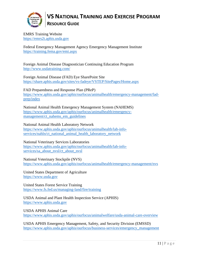

EMRS Training Website [https://emrs2t.aphis.usda.gov](https://emrs2t.aphis.usda.gov/)

Federal Emergency Management Agency Emergency Management Institute <https://training.fema.gov/emi.aspx>

Foreign Animal Disease Diagnostician Continuing Education Program <http://www.usdatraining.com/>

Foreign Animal Disease (FAD) Eye SharePoint Site <https://share.aphis.usda.gov/sites/vs-fadeye/VSTEP/SitePages/Home.aspx>

FAD Preparedness and Response Plan (PReP) [https://www.aphis.usda.gov/aphis/ourfocus/animalhealth/emergency-management/fad](https://www.aphis.usda.gov/aphis/ourfocus/animalhealth/emergency-management/fad-prep/index)[prep/index](https://www.aphis.usda.gov/aphis/ourfocus/animalhealth/emergency-management/fad-prep/index) 

National Animal Health Emergency Management System (NAHEMS) [https://www.aphis.usda.gov/aphis/ourfocus/animalhealth/emergency](https://www.aphis.usda.gov/aphis/ourfocus/animalhealth/emergency-management/ct_nahems_em_guidelines)[management/ct\\_nahems\\_em\\_guidelines](https://www.aphis.usda.gov/aphis/ourfocus/animalhealth/emergency-management/ct_nahems_em_guidelines)

National Animal Health Laboratory Network

[https://www.aphis.usda.gov/aphis/ourfocus/animalhealth/lab-info](https://www.aphis.usda.gov/aphis/ourfocus/animalhealth/lab-info-services/nahln/ct_national_animal_health_laboratory_network)[services/nahln/ct\\_national\\_animal\\_health\\_laboratory\\_network](https://www.aphis.usda.gov/aphis/ourfocus/animalhealth/lab-info-services/nahln/ct_national_animal_health_laboratory_network)

National Veterinary Services Laboratories [https://www.aphis.usda.gov/aphis/ourfocus/animalhealth/lab-info-](https://www.aphis.usda.gov/aphis/ourfocus/animalhealth/lab-info-services/sa_about_nvsl/ct_about_nvsl)

[services/sa\\_about\\_nvsl/ct\\_about\\_nvsl](https://www.aphis.usda.gov/aphis/ourfocus/animalhealth/lab-info-services/sa_about_nvsl/ct_about_nvsl)

National Veterinary Stockpile (NVS) <https://www.aphis.usda.gov/aphis/ourfocus/animalhealth/emergency-management/nvs>

United States Department of Agriculture [https://www.usda.gov](https://www.usda.gov/)

United States Forest Service Training <https://www.fs.fed.us/managing-land/fire/training>

USDA Animal and Plant Health Inspection Service (APHIS) [https://www.aphis.usda.gov](https://www.aphis.usda.gov/)

USDA APHIS Animal Care <https://www.aphis.usda.gov/aphis/ourfocus/animalwelfare/usda-animal-care-overview>

USDA APHIS Emergency Management, Safety, and Security Division (EMSSD) [https://www.aphis.usda.gov/aphis/ourfocus/business-services/emergency\\_management](https://www.aphis.usda.gov/aphis/ourfocus/business-services/emergency_management)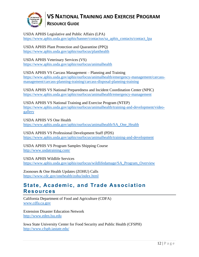

USDA APHIS Legislative and Public Affairs (LPA) [https://www.aphis.usda.gov/aphis/banner/contactus/sa\\_aphis\\_contacts/contact\\_lpa](https://www.aphis.usda.gov/aphis/banner/contactus/sa_aphis_contacts/contact_lpa)

USDA APHIS Plant Protection and Quarantine (PPQ) <https://www.aphis.usda.gov/aphis/ourfocus/planthealth>

USDA APHIS Veterinary Services (VS) <https://www.aphis.usda.gov/aphis/ourfocus/animalhealth>

USDA APHIS VS Carcass Management – Planning and Training [https://www.aphis.usda.gov/aphis/ourfocus/animalhealth/emergency-management/carcass](https://www.aphis.usda.gov/aphis/ourfocus/animalhealth/emergency-management/carcass-management/carcass-planning-training/carcass-disposal-planning-training)[management/carcass-planning-training/carcass-disposal-planning-training](https://www.aphis.usda.gov/aphis/ourfocus/animalhealth/emergency-management/carcass-management/carcass-planning-training/carcass-disposal-planning-training)

USDA APHIS VS National Preparedness and Incident Coordination Center (NPIC) <https://www.aphis.usda.gov/aphis/ourfocus/animalhealth/emergency-management>

USDA APHIS VS National Training and Exercise Program (NTEP) [https://www.aphis.usda.gov/aphis/ourfocus/animalhealth/training-and-development/video](https://www.aphis.usda.gov/aphis/ourfocus/animalhealth/training-and-development/video-gallery)[gallery](https://www.aphis.usda.gov/aphis/ourfocus/animalhealth/training-and-development/video-gallery)

USDA APHIS VS One Health [https://www.aphis.usda.gov/aphis/ourfocus/animalhealth/SA\\_One\\_Health](https://www.aphis.usda.gov/aphis/ourfocus/animalhealth/SA_One_Health)

USDA APHIS VS Professional Development Staff (PDS) <https://www.aphis.usda.gov/aphis/ourfocus/animalhealth/training-and-development>

USDA APHIS VS Program Samples Shipping Course <http://www.usdatraining.com/>

USDA APHIS Wildlife Services [https://www.aphis.usda.gov/aphis/ourfocus/wildlifedamage/SA\\_Program\\_Overview](https://www.aphis.usda.gov/aphis/ourfocus/wildlifedamage/SA_Program_Overview)

Zoonoses & One Health Updates (ZOHU) Calls [https://www.cdc.gov/onehealth/zohu/index.html](https://gcc02.safelinks.protection.outlook.com/?url=https%3A%2F%2Fwww.cdc.gov%2Fonehealth%2Fzohu%2Findex.html&data=02%7C01%7C%7Cb276eac0c67a4508593608d764751309%7Ced5b36e701ee4ebc867ee03cfa0d4697%7C0%7C0%7C637088326300281163&sdata=GhU88ynydL%2B5ehp5NS92gVkeorp0D0Rc4KiR%2FLDFzYI%3D&reserved=0)

## <span id="page-15-0"></span>**State, Academic, and Trade Association Resources**

California Department of Food and Agriculture (CDFA) [www.cdfa.ca.gov](http://www.cdfa.ca.gov/)

Extension Disaster Education Network [http://www.eden.lsu.edu](http://www.eden.lsu.edu/)

Iowa State University Center for Food Security and Public Health (CFSPH) <http://www.cfsph.iastate.edu/>